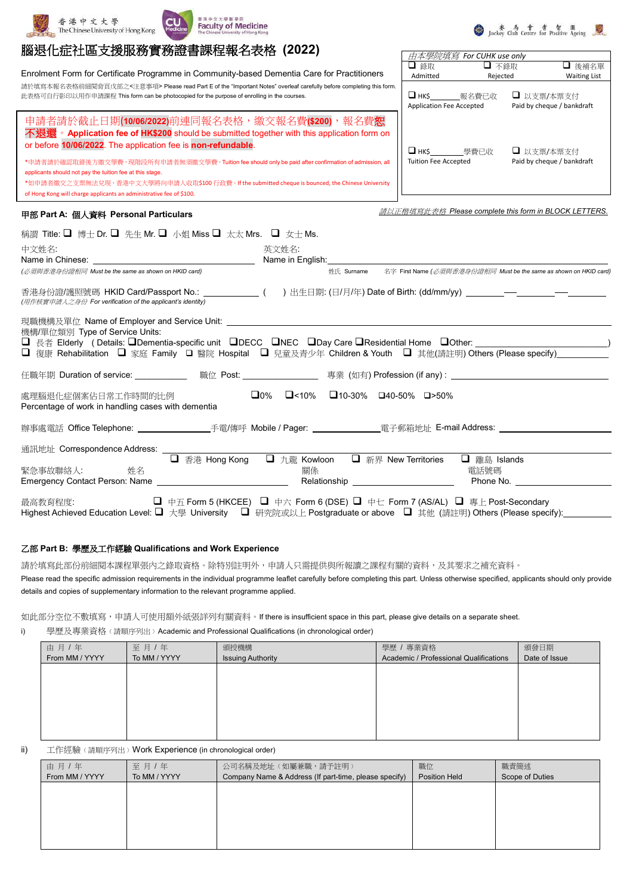

香港中文大學



# 腦退化症社區支援服務實務證書課程報名表格 **(2022)**

Enrolment Form for Certificate Programme in Community-based Dementia Care for Practitioners 請於填寫本報名表格前細閱背頁戊部之<注意事項> Please read Part E of the "Important Notes" overleaf carefully before completing this form 此表格可自行影印以用作申請課程 This form can be photocopied for the purpose of enrolling in the courses.



\*申請者請於確認取錄後方繳交學費,現階段所有申請者無須繳交學費。Tuition fee should only be paid after confirmation of admission, all applicants should not pay the tuition fee at this stage. \*如申請者繳交之支票無法兌現,香港中文大學將向申請人收取\$100 行政費。If the submitted cheque is bounced, the Chinese University

of Hong Kong will charge applicants an administrative fee of \$100.

or before **10/06/2022**. The application fee is **non-refundable**.

### 甲部 **Part A:** 個人資料 **Personal Particulars**

請以正楷填寫此表格 *Please complete this form in BLOCK LETTERS.*

● Lockey Club Centre for Positive Ageing

| 稱謂 Title: $\Box$ 博士 Dr. $\Box$ 先生 Mr. $\Box$ 小姐 Miss $\Box$ 太太 Mrs. $\Box$ 女士 Ms.         |                                                                                                                                                                                                                                           |
|-------------------------------------------------------------------------------------------|-------------------------------------------------------------------------------------------------------------------------------------------------------------------------------------------------------------------------------------------|
| 中文姓名:                                                                                     | 英文姓名:<br>Name in English: Name in English:                                                                                                                                                                                                |
| (必須與香港身份證相同 Must be the same as shown on HKID card)                                       | 名字 First Name (必須與香港身份證相同 Must be the same as shown on HKID card)<br>姓氏 Surname                                                                                                                                                           |
| (用作核實申請人之身份 For verification of the applicant's identity)                                 | 香港身份證/護照號碼 HKID Card/Passport No.: ____________(  )出生日期: (日/月/年) Date of Birth: (dd/mm/yy) _________________________                                                                                                                      |
| 機構/單位類別 Type of Service Units:                                                            | □ 長者 Elderly (Details: □Dementia-specific unit □DECC □NEC □Day Care □Residential Home □Other: _______________________<br>□ 復康 Rehabilitation □ 家庭 Family □ 醫院 Hospital □ 兒童及青少年 Children & Youth □ 其他(請註明) Others (Please specify)_______ |
|                                                                                           | 任職年期 Duration of service: ___________  職位 Post: ________________  專業 (如有) Profession (if any) : _________________________________                                                                                                         |
| 處理腦退化症個案佔日常工作時間的比例<br>Percentage of work in handling cases with dementia                  | $\square$ 0% $\square$ <10% $\square$ 10-30% $\square$ 40-50% $\square$ >50%                                                                                                                                                              |
|                                                                                           |                                                                                                                                                                                                                                           |
| 通訊地址 Correspondence Address: ___________<br>緊急事故聯絡人: 姓名<br>Emergency Contact Person: Name | □ 香港 Hong Kong □ 九龍 Kowloon □ 新界 New Territories<br>$\Box$ 離島 Islands<br>關係<br>雷話號碼<br>Relationship ________________________<br>Phone No.                                                                                                 |
|                                                                                           | Highest Achieved Education Level: ❑ 大學 University   ❑ 研究院或以上 Postgraduate or above  ❑ 其他 (請註明) Others (Please specify):                                                                                                                   |

#### 乙部 **Part B:** 學歷及工作經驗 **Qualifications and Work Experience**

請於填寫此部份前細閱本課程單張內之錄取資格。除特別註明外,申請人只需提供與所報讀之課程有關的資料,及其要求之補充資料。

Please read the specific admission requirements in the individual programme leaflet carefully before completing this part. Unless otherwise specified, applicants should only provide details and copies of supplementary information to the relevant programme applied.

如此部分空位不敷填寫,申請人可使用額外紙張詳列有關資料。If there is insufficient space in this part, please give details on a separate sheet.

i) 學歷及專業資格﹙請順序列出﹚Academic and Professional Qualifications (in chronological order)

| 由月/年           | 至月1年         | 頒授機構                     | 學歷 / 專業資格                              | 頒發日期          |
|----------------|--------------|--------------------------|----------------------------------------|---------------|
| From MM / YYYY | To MM / YYYY | <b>Issuing Authority</b> | Academic / Professional Qualifications | Date of Issue |
|                |              |                          |                                        |               |
|                |              |                          |                                        |               |
|                |              |                          |                                        |               |
|                |              |                          |                                        |               |
|                |              |                          |                                        |               |
|                |              |                          |                                        |               |
|                |              |                          |                                        |               |

ii) 工作經驗﹙請順序列出﹚Work Experience (in chronological order)

| 由月/年           | 至月1年         | 公司名稱及地址(如屬兼職,請予註明)                                    | 職位            | 職責簡述            |
|----------------|--------------|-------------------------------------------------------|---------------|-----------------|
| From MM / YYYY | To MM / YYYY | Company Name & Address (If part-time, please specify) | Position Held | Scope of Duties |
|                |              |                                                       |               |                 |
|                |              |                                                       |               |                 |
|                |              |                                                       |               |                 |
|                |              |                                                       |               |                 |
|                |              |                                                       |               |                 |
|                |              |                                                       |               |                 |
|                |              |                                                       |               |                 |